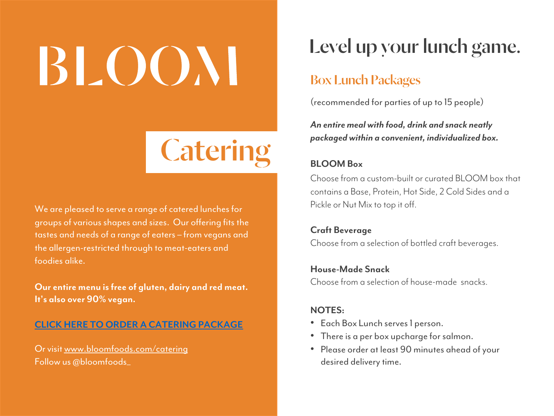# BLOON

## **[Caterin](http://www.bloomfoods.com/catering)g**

We are pleased to serve a range of catered lunches for groups of various shapes and sizes. Our offering fits the tastes and needs of a range of eaters – from vegans and the allergen-restricted through to meat-eaters and foodies alike.

**Our entire menu is free of gluten, dairy and red meat. It's also over 90% vegan.**

#### **CLICK HERE TO ORDER A CATERING PACKAGE**

Or visit www.bloomfoods.com/catering Follow us @bloomfoods\_

### Level up your lunch

#### Box Lunch Packages

(recommended for parties of up to 15 peop

**An entire meal with food, drink and snack i** *packaged within a convenient, individualized box.* 

#### **BLOOM Box**

Choose from a custom-built or curated BLC contains a Base, Protein, Hot Side, 2 Cold S Pickle or Nut Mix to top it off.

**Craft Beverage** Choose from a selection of bottled craft bev

**House-Made Snack** Choose from a selection of house-made sna

#### **NOTES:**

- Each Box Lunch serves 1 person.
- There is a per box upcharge for salmon.
- Please order at least 90 minutes ahead desired delivery time.